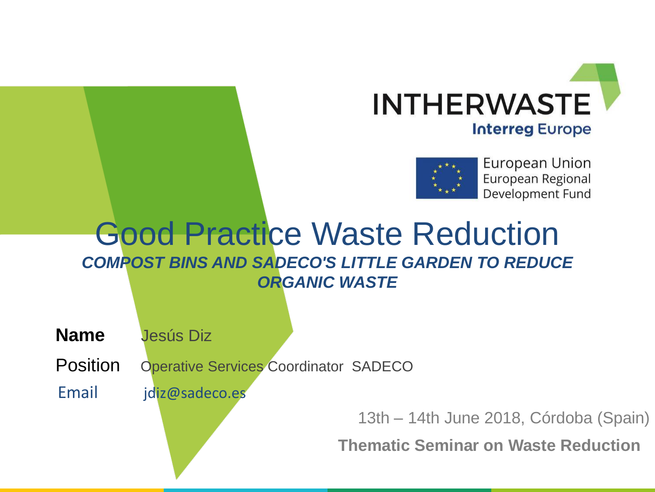



# Good Practice Waste Reduction *COMPOST BINS AND SADECO'S LITTLE GARDEN TO REDUCE ORGANIC WASTE*

**Name** Jesús Diz

Position Operative Services Coordinator SADECO

Email jdiz@sadeco.es

13th – 14th June 2018, Córdoba (Spain)

**Thematic Seminar on Waste Reduction**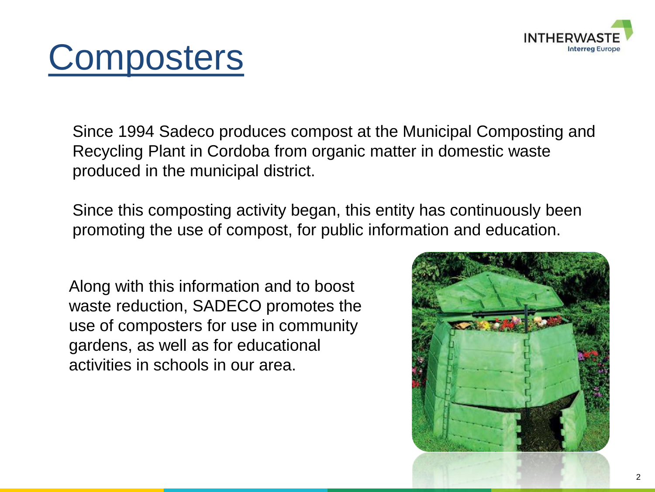

# **Composters**

Since 1994 Sadeco produces compost at the Municipal Composting and Recycling Plant in Cordoba from organic matter in domestic waste produced in the municipal district.

Since this composting activity began, this entity has continuously been promoting the use of compost, for public information and education.

Along with this information and to boost waste reduction, SADECO promotes the use of composters for use in community gardens, as well as for educational activities in schools in our area.

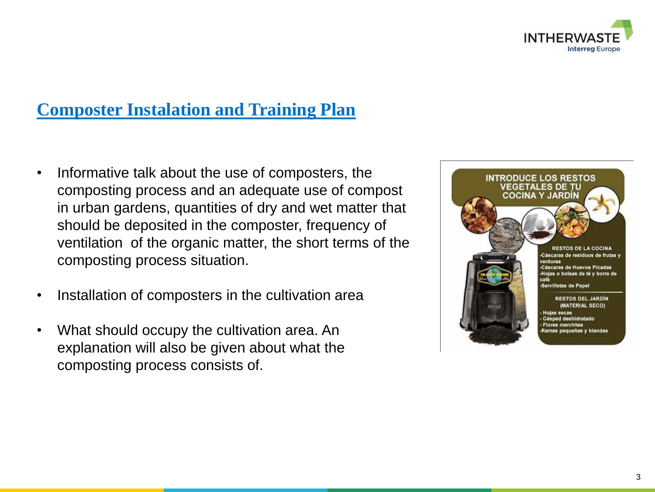

## **Composter Instalation and Training Plan**

- Informative talk about the use of composters, the composting process and an adequate use of compost in urban gardens, quantities of dry and wet matter that should be deposited in the composter, frequency of ventilation of the organic matter, the short terms of the composting process situation.
- Installation of composters in the cultivation area
- What should occupy the cultivation area. An explanation will also be given about what the composting process consists of.

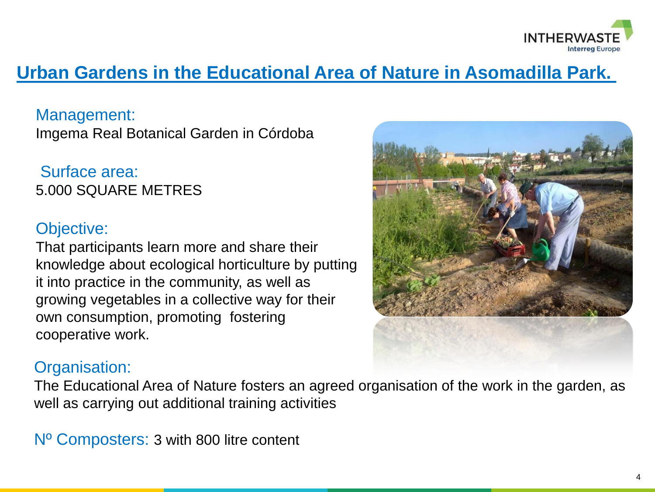

# **Urban Gardens in the Educational Area of Nature in Asomadilla Park.**

Management: Imgema Real Botanical Garden in Córdoba

Surface area: 5.000 SQUARE METRES

#### Objective:

That participants learn more and share their knowledge about ecological horticulture by putting it into practice in the community, as well as growing vegetables in a collective way for their own consumption, promoting fostering cooperative work.



### Organisation:

The Educational Area of Nature fosters an agreed organisation of the work in the garden, as well as carrying out additional training activities

Nº Composters: 3 with 800 litre content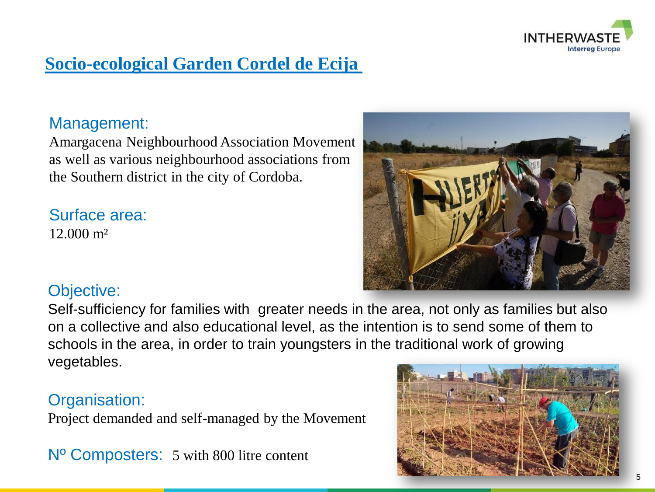

# **Socio-ecological Garden Cordel de Ecija**

#### Management:

Amargacena Neighbourhood Association Movement as well as various neighbourhood associations from the Southern district in the city of Cordoba.

Surface area: 12.000 m²



#### Objective:

Self-sufficiency for families with greater needs in the area, not only as families but also on a collective and also educational level, as the intention is to send some of them to schools in the area, in order to train youngsters in the traditional work of growing vegetables.

#### Organisation:

Project demanded and self-managed by the Movement

Nº Composters: 5 with 800 litre content

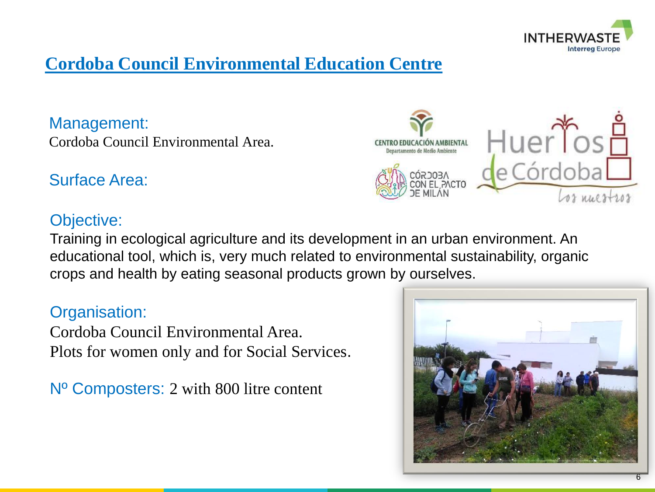

# **Cordoba Council Environmental Education Centre**

Management: Cordoba Council Environmental Area.

### Surface Area:

#### Objective:

Training in ecological agriculture and its development in an urban environment. An educational tool, which is, very much related to environmental sustainability, organic crops and health by eating seasonal products grown by ourselves.

#### Organisation:

Cordoba Council Environmental Area. Plots for women only and for Social Services.

Nº Composters: 2 with 800 litre content



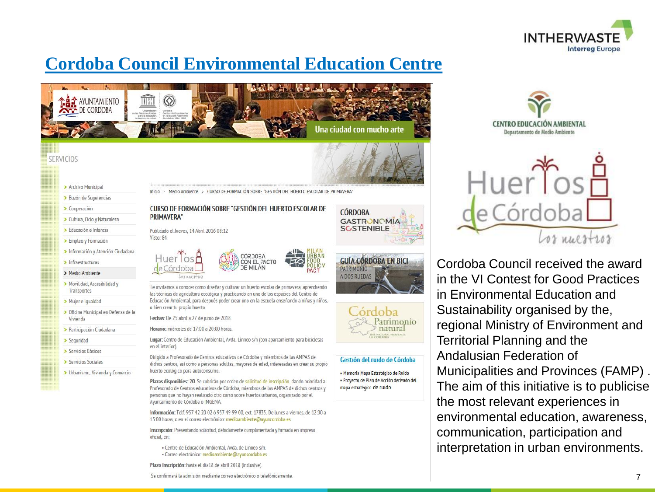

# **Cordoba Council Environmental Education Centre**





> Archivo Municipal

- > Buzón de Sugerencias
- > Cooperación
- > Cultura, Ocio y Naturaleza
- > Educación e Infancia
- > Empleo y Formación
- **CURSO DE FORMACIÓN SOBRE "GESTIÓN DEL HUERTO ESCOLAR DE PRIMAVERA"**
- > Infraestructuras
- > Medio Ambiente
- > Movilidad, Accesibilidad v Transportes
- > Mujer e Igualdad
- > Oficina Municipal en Defensa de la Vivienda
- > Participación Ciudadana
- > Seguridad
- > Servicios Básicos
- > Servicios Sociales
- > Urbanismo, Vivienda y Comercio

Inicio > Medio Ambiente > CURSO DE FORMACIÓN SOBRE "GESTIÓN DEL HUERTO ESCOLAR DE PRIMAVERA"

#### **CURSO DE FORMACIÓN SOBRE "GESTIÓN DEL HUERTO ESCOLAR DE PRIMAVERA**

Publicado el Jueves, 14 Abril 2016 08:12 Visto: 84



Te invitamos a conocer como diseñar y cultivar un huerto escolar de primavera, aprendiendo<br>las técnicas de agricultura ecológica y practicando en uno de los espacios del Centro de<br>Educación Ambiental, para después poder cr o bien crear tu propio huerto.

Fechas: De 25 abril a 27 de junio de 2018.

Horario: miércoles de 17:00 a 20:00 horas.

Lugar: Centro de Educación Ambiental, Avda. Linneo s/n (con aparcamiento para bicicletas en el interior).

Dirigido a Profesorado de Centros educativos de Córdoba y miembros de las AMPAS de dichos centros, así como a personas adultas, mayores de edad, interesadas en crear su propio huerto ecológico para autoconsumo.

Plazas disponibles: 20. Se cubrirán por orden de solicitud de inscripción. dando prioridad a Profesorado de Centros educativos de Córdoba, miembros de las AMPAS de dichos centros y personas que no hayan realizado otro curso sobre huertos urbanos, organizado por el Ayuntamiento de Córdoba o IMGEMA.

Información: Telf. 957 42 20 02 ó 957 49 99 00, ext. 17835. De lunes a viernes, de 12:00 a 15:00 horas, o en el correo electrónico: medioambiente@ayuncordoba.es

Inscripción: Presentando solicitud, debidamente cumplimentada y firmada en impreso oficial, en:

· Centro de Educación Ambiental, Avda. de Linneo s/n. · Correo electrónico: medioambiente@ayuncordoba.es

Plazo inscripción: hasta el día18 de abril 2018 (inclusive).

Se confirmará la admisión mediante correo electrónico o telefónicamente.







#### Gestión del ruido de Córdoba

· Memoria Mapa Estratégico de Ruido · Proyecto de Plan de Acción derivado del mapa estratégico de ruido





Cordoba Council received the award in the VI Contest for Good Practices in Environmental Education and Sustainability organised by the, regional Ministry of Environment and Territorial Planning and the Andalusian Federation of Municipalities and Provinces (FAMP) . The aim of this initiative is to publicise the most relevant experiences in environmental education, awareness, communication, participation and interpretation in urban environments.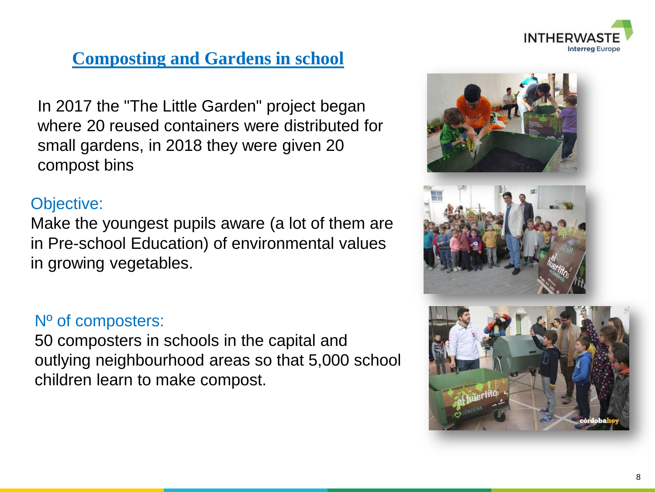

## **Composting and Gardens in school**

In 2017 the "The Little Garden" project began where 20 reused containers were distributed for small gardens, in 2018 they were given 20 compost bins

#### Objective:

Make the youngest pupils aware (a lot of them are in Pre-school Education) of environmental values in growing vegetables.

#### Nº of composters:

50 composters in schools in the capital and outlying neighbourhood areas so that 5,000 school children learn to make compost.